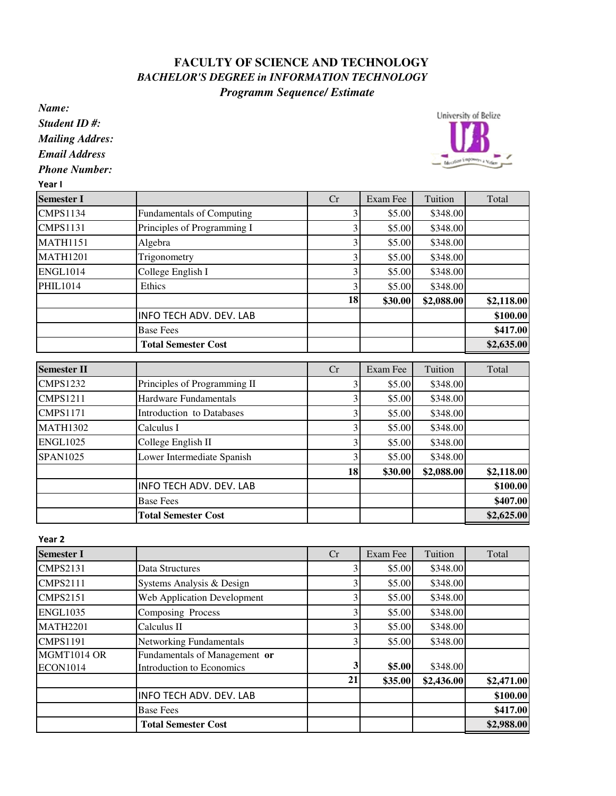## **FACULTY OF SCIENCE AND TECHNOLOGY**  *BACHELOR'S DEGREE in INFORMATION TECHNOLOGY Programm Sequence/ Estimate*

*Name:*

*Student ID #:*

*Mailing Addres:*

*Email Address*

*Phone Number:*

Year I

| <b>Semester I</b>  |                                  | Cr | Exam Fee | Tuition    | Total      |
|--------------------|----------------------------------|----|----------|------------|------------|
| <b>CMPS1134</b>    | Fundamentals of Computing        | 3  | \$5.00   | \$348.00   |            |
| <b>CMPS1131</b>    | Principles of Programming I      | 3  | \$5.00   | \$348.00   |            |
| <b>MATH1151</b>    | Algebra                          | 3  | \$5.00   | \$348.00   |            |
| <b>MATH1201</b>    | Trigonometry                     | 3  | \$5.00   | \$348.00   |            |
| <b>ENGL1014</b>    | College English I                | 3  | \$5.00   | \$348.00   |            |
| <b>PHIL1014</b>    | Ethics                           | 3  | \$5.00   | \$348.00   |            |
|                    |                                  | 18 | \$30.00  | \$2,088.00 | \$2,118.00 |
|                    | INFO TECH ADV. DEV. LAB          |    |          |            | \$100.00   |
|                    | <b>Base Fees</b>                 |    |          |            | \$417.00   |
|                    | <b>Total Semester Cost</b>       |    |          |            | \$2,635.00 |
| <b>Semester II</b> |                                  | Cr | Exam Fee | Tuition    | Total      |
| <b>CMPS1232</b>    | Principles of Programming II     | 3  | \$5.00   | \$348.00   |            |
| <b>CMPS1211</b>    | Hardware Fundamentals            | 3  | \$5.00   | \$348.00   |            |
| <b>CMPS1171</b>    | <b>Introduction</b> to Databases | 3  | \$5.00   | \$348.00   |            |
| <b>MATH1302</b>    | Calculus I                       | 3  | \$5.00   | \$348.00   |            |
| <b>ENGL1025</b>    | College English II               | 3  | \$5.00   | \$348.00   |            |
| <b>SPAN1025</b>    | Lower Intermediate Spanish       | 3  | \$5.00   | \$348.00   |            |
|                    |                                  | 18 | \$30.00  | \$2,088.00 | \$2,118.00 |
|                    | INFO TECH ADV. DEV. LAB          |    |          |            | \$100.00   |
|                    | <b>Base Fees</b>                 |    |          |            | \$407.00   |
|                    | <b>Total Semester Cost</b>       |    |          |            | \$2,625.00 |

| Year 2          |                                |    |          |            |            |
|-----------------|--------------------------------|----|----------|------------|------------|
| Semester I      |                                | Cr | Exam Fee | Tuition    | Total      |
| <b>CMPS2131</b> | Data Structures                | 3  | \$5.00   | \$348.00   |            |
| <b>CMPS2111</b> | Systems Analysis & Design      |    | \$5.00   | \$348.00   |            |
| <b>CMPS2151</b> | Web Application Development    | 3  | \$5.00   | \$348.00   |            |
| <b>ENGL1035</b> | Composing Process              | 3  | \$5.00   | \$348.00   |            |
| <b>MATH2201</b> | Calculus II                    | 3  | \$5.00   | \$348.00   |            |
| <b>CMPS1191</b> | <b>Networking Fundamentals</b> | 3  | \$5.00   | \$348.00   |            |
| MGMT1014 OR     | Fundamentals of Management or  |    |          |            |            |
| <b>ECON1014</b> | Introduction to Economics      | 3  | \$5.00   | \$348.00   |            |
|                 |                                | 21 | \$35.00  | \$2,436.00 | \$2,471.00 |
|                 | <b>INFO TECH ADV. DEV. LAB</b> |    |          |            | \$100.00   |
|                 | <b>Base Fees</b>               |    |          |            | \$417.00   |
|                 | <b>Total Semester Cost</b>     |    |          |            | \$2,988.00 |

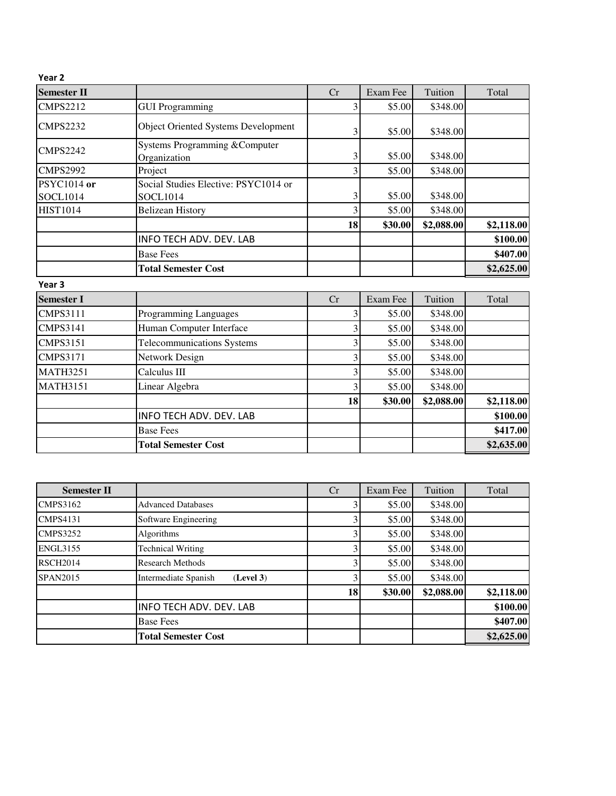| Year <sub>2</sub>  |                                               |    |          |            |            |
|--------------------|-----------------------------------------------|----|----------|------------|------------|
| <b>Semester II</b> |                                               | Cr | Exam Fee | Tuition    | Total      |
| <b>CMPS2212</b>    | <b>GUI Programming</b>                        | 3  | \$5.00   | \$348.00   |            |
| <b>CMPS2232</b>    | <b>Object Oriented Systems Development</b>    | 3  | \$5.00   | \$348.00   |            |
| <b>CMPS2242</b>    | Systems Programming &Computer<br>Organization | 3  | \$5.00   | \$348.00   |            |
| <b>CMPS2992</b>    | Project                                       | 3  | \$5.00   | \$348.00   |            |
| <b>PSYC1014</b> or | Social Studies Elective: PSYC1014 or          |    |          |            |            |
| SOCL1014           | <b>SOCL1014</b>                               | 3  | \$5.00   | \$348.00   |            |
| <b>HIST1014</b>    | <b>Belizean History</b>                       | 3  | \$5.00   | \$348.00   |            |
|                    |                                               | 18 | \$30.00  | \$2,088.00 | \$2,118.00 |
|                    | INFO TECH ADV. DEV. LAB                       |    |          |            | \$100.00   |
|                    | <b>Base Fees</b>                              |    |          |            | \$407.00   |
|                    | <b>Total Semester Cost</b>                    |    |          |            | \$2,625.00 |
| Year <sub>3</sub>  |                                               |    |          |            |            |
| <b>Semester I</b>  |                                               | Cr | Exam Fee | Tuition    | Total      |
| <b>CMPS3111</b>    | Programming Languages                         | 3  | \$5.00   | \$348.00   |            |
| <b>CMPS3141</b>    | Human Computer Interface                      | 3  | \$5.00   | \$348.00   |            |
| <b>CMPS3151</b>    | <b>Telecommunications Systems</b>             | 3  | \$5.00   | \$348.00   |            |
| <b>CMPS3171</b>    | Network Design                                | 3  | \$5.00   | \$348.00   |            |
| <b>MATH3251</b>    | Calculus III                                  | 3  | \$5.00   | \$348.00   |            |
| <b>MATH3151</b>    | Linear Algebra                                | 3  | \$5.00   | \$348.00   |            |
|                    |                                               | 18 | \$30.00  | \$2,088.00 | \$2,118.00 |
|                    | <b>INFO TECH ADV. DEV. LAB</b>                |    |          |            | \$100.00   |
|                    | <b>Base Fees</b>                              |    |          |            | \$417.00   |
|                    | <b>Total Semester Cost</b>                    |    |          |            | \$2,635.00 |

| <b>Semester II</b> |                                   | Cr | Exam Fee | Tuition    | Total      |
|--------------------|-----------------------------------|----|----------|------------|------------|
| <b>CMPS3162</b>    | <b>Advanced Databases</b>         |    | \$5.00   | \$348.00   |            |
| <b>CMPS4131</b>    | Software Engineering              |    | \$5.00   | \$348.00   |            |
| <b>CMPS3252</b>    | Algorithms                        | 3  | \$5.00   | \$348.00   |            |
| <b>ENGL3155</b>    | <b>Technical Writing</b>          | 3  | \$5.00   | \$348.00   |            |
| <b>RSCH2014</b>    | <b>Research Methods</b>           |    | \$5.00   | \$348.00   |            |
| <b>SPAN2015</b>    | (Level 3)<br>Intermediate Spanish | 3  | \$5.00   | \$348.00   |            |
|                    |                                   | 18 | \$30.00  | \$2,088.00 | \$2,118.00 |
|                    | <b>INFO TECH ADV. DEV. LAB</b>    |    |          |            | \$100.00   |
|                    | <b>Base Fees</b>                  |    |          |            | \$407.00   |
|                    | <b>Total Semester Cost</b>        |    |          |            | \$2,625.00 |